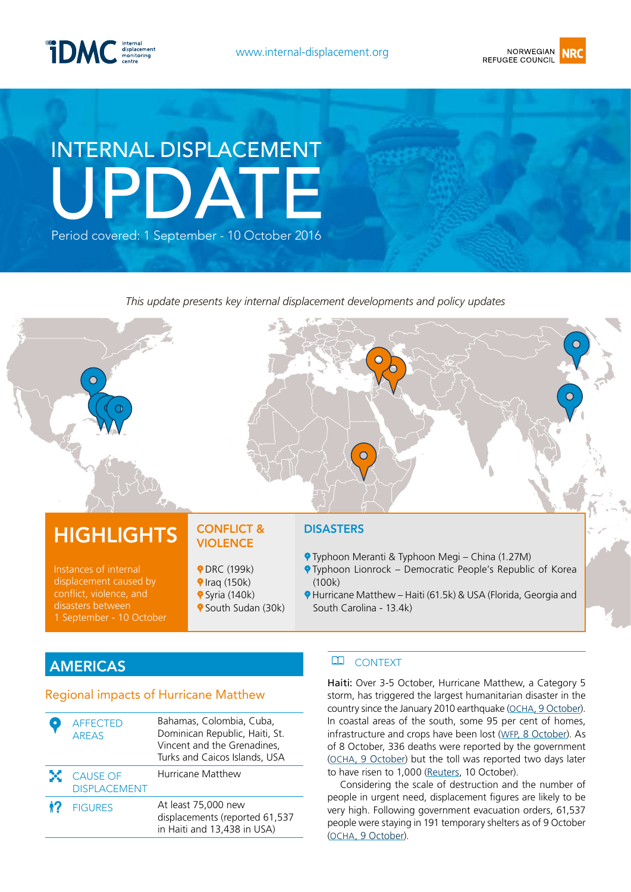



# internal displacement Update Period covered: 1 September - 10 October 2016

*This update presents key internal displacement developments and policy updates*

# **HIGHLIGHTS**

Instances of internal displacement caused by conflict, violence, and 1 September - 10 October

#### conflict & **VIOLENCE**

- **PDRC (199k)**
- $\blacklozenge$  Iraq (150k)
- $\blacklozenge$  Syria (140k)
- **9** South Sudan (30k)

#### **DISASTERS**

- Typhoon Meranti & Typhoon Megi China (1.27M)
- **P** Typhoon Lionrock Democratic People's Republic of Korea (100k)
- Hurricane Matthew Haiti (61.5k) & USA (Florida, Georgia and South Carolina - 13.4k)

# **AMERICAS**

#### Regional impacts of Hurricane Matthew

|    | <b>AFFECTED</b><br><b>AREAS</b>        | Bahamas, Colombia, Cuba,<br>Dominican Republic, Haiti, St.<br>Vincent and the Grenadines,<br>Turks and Caicos Islands, USA |
|----|----------------------------------------|----------------------------------------------------------------------------------------------------------------------------|
| X. | <b>CAUSE OF</b><br><b>DISPLACEMENT</b> | Hurricane Matthew                                                                                                          |
| 17 | <b>FIGURES</b>                         | At least 75,000 new<br>displacements (reported 61,537<br>in Haiti and 13,438 in USA)                                       |

#### **CONTEXT**

Haiti: Over 3-5 October, Hurricane Matthew, a Category 5 storm, has triggered the largest humanitarian disaster in the country since the January 2010 earthquake ([OCHA, 9 October\)](http://reliefweb.int/report/haiti/haiti-hurricane-matthew-situation-report-no-5-9-october-2016). In coastal areas of the south, some 95 per cent of homes, infrastructure and crops have been lost ([WFP, 8 October\)](http://reliefweb.int/sites/reliefweb.int/files/resources/WFP%20Haiti%20Hurricane%20Matthew%20External%20Situation%20Report%20%2304%20%2808%20October%202016%29.pdf). As of 8 October, 336 deaths were reported by the government [\(OCHA, 9 October](http://reliefweb.int/report/haiti/haiti-hurricane-matthew-situation-report-no-5-9-october-2016)) but the toll was reported two days later to have risen to 1,000 [\(Reuters](http://news.trust.org/item/20161010001318-8oon1), 10 October).

Considering the scale of destruction and the number of people in urgent need, displacement figures are likely to be very high. Following government evacuation orders, 61,537 people were staying in 191 temporary shelters as of 9 October [\(OCHA, 9 October](http://reliefweb.int/report/haiti/haiti-hurricane-matthew-situation-report-no-5-9-october-2016)).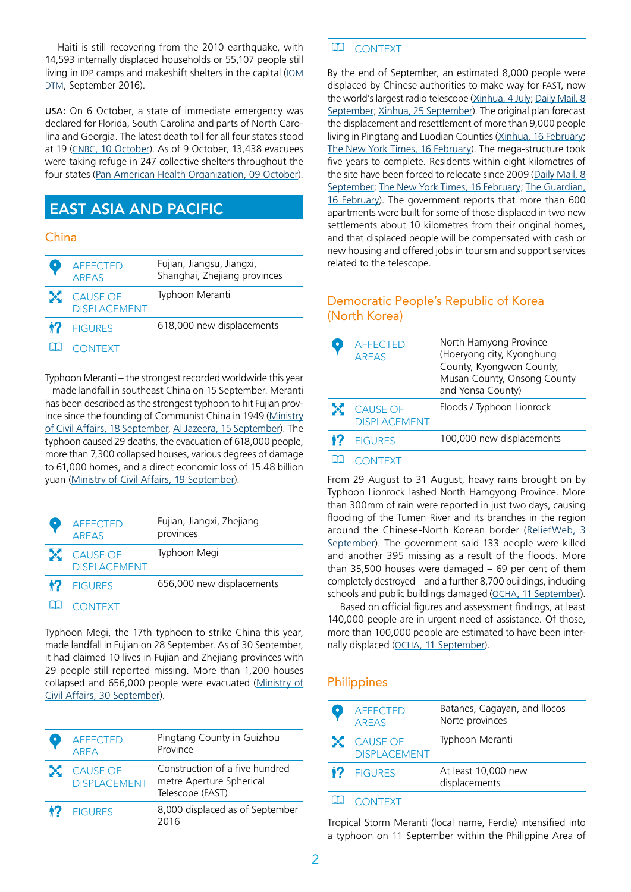Haiti is still recovering from the 2010 earthquake, with 14,593 internally displaced households or 55,107 people still living in IDP camps and makeshift shelters in the capital [\(IOM](http://www.globaldtm.info/dtm-haiti-ronde-27-septembre-2015/.) [DTM,](http://www.globaldtm.info/dtm-haiti-ronde-27-septembre-2015/.) September 2016).

USA: On 6 October, a state of immediate emergency was declared for Florida, South Carolina and parts of North Carolina and Georgia. The latest death toll for all four states stood at 19 [\(CNBC, 10 October](http://www.cnbc.com/2016/10/09/hurricane-matthew-kills-19-people-in-us-flooding-in-north-carolina.html)). As of 9 October, 13,438 evacuees were taking refuge in 247 collective shelters throughout the four states [\(Pan American Health Organization, 09 October](http://www.paho.org/hq/index.php?option=com_docman&task=doc_view&Itemid=270&gid=36494&lang=en)).

# East Asia and Pacific

#### China

| <b>AFFECTED</b><br><b>AREAS</b>   | Fujian, Jiangsu, Jiangxi,<br>Shanghai, Zhejiang provinces |
|-----------------------------------|-----------------------------------------------------------|
| X CAUSE OF<br><b>DISPLACEMENT</b> | Typhoon Meranti                                           |
| <b>12</b> FIGURES                 | 618,000 new displacements                                 |
| <b>CONTEXT</b>                    |                                                           |

Typhoon Meranti – the strongest recorded worldwide this year – made landfall in southeast China on 15 September. Meranti has been described as the strongest typhoon to hit Fujian province since the founding of Communist China in 1949 [\(Ministry](http://www.mca.gov.cn/article/yw/jzjz/zqkb/zqhz/201609/20160900001798.shtml) [of Civil Affairs, 18 September,](http://www.mca.gov.cn/article/yw/jzjz/zqkb/zqhz/201609/20160900001798.shtml) [Al Jazeera, 15 September](http://www.aljazeera.com/news/2016/09/typhoon-meranti-hits-china-battering-taiwan-160915042653897.html)). The typhoon caused 29 deaths, the evacuation of 618,000 people, more than 7,300 collapsed houses, various degrees of damage to 61,000 homes, and a direct economic loss of 15.48 billion yuan [\(Ministry of Civil Affairs, 19 September](http://www.mca.gov.cn/article/yw/jzjz/zqkb/zqhz/201609/20160900001813.shtml)).

|              | <b>AFFECTED</b><br><b>AREAS</b>   | Fujian, Jiangxi, Zhejiang<br>provinces |
|--------------|-----------------------------------|----------------------------------------|
|              | X CAUSE OF<br><b>DISPLACEMENT</b> | Typhoon Megi                           |
| $\mathbf{1}$ | <b>FIGURES</b>                    | 656,000 new displacements              |
|              |                                   |                                        |

Typhoon Megi, the 17th typhoon to strike China this year, made landfall in Fujian on 28 September. As of 30 September, it had claimed 10 lives in Fujian and Zhejiang provinces with 29 people still reported missing. More than 1,200 houses collapsed and 656,000 people were evacuated [\(](http://news.xinhuanet.com/english/2016-09/29/c_135723497.htm)[Ministry of](http://www.mca.gov.cn/article/yw/jzjz/zqkb/zqhz/201609/20160900001943.shtml) [Civil Affairs, 30 September\)](http://www.mca.gov.cn/article/yw/jzjz/zqkb/zqhz/201609/20160900001943.shtml).

|                     | <b>AFFECTED</b><br><b>ARFA</b>            | Pingtang County in Guizhou<br>Province                                         |
|---------------------|-------------------------------------------|--------------------------------------------------------------------------------|
|                     | <b>X</b> CAUSE OF<br><b>DISPI ACEMENT</b> | Construction of a five hundred<br>metre Aperture Spherical<br>Telescope (FAST) |
| $\ddot{\mathbf{r}}$ | <b>FIGURES</b>                            | 8,000 displaced as of September<br>2016                                        |

#### $\mathbf{m}$ **CONTEXT**

By the end of September, an estimated 8,000 people were displaced by Chinese authorities to make way for FAST, now the world's largest radio telescope ([Xinhua, 4 July;](http://en.people.cn/n3/2016/0704/c90000-9080827.html) Daily Mail, 8 [September;](http://www.dailymail.co.uk/news/peoplesdaily/article-3779848/The-135-million-alien-scanner-Incredible-gallery-shows-Chinese-engineers-turn-remote-area-World-s-largest-radio-telescope.html) [Xinhua, 25 September\)](http://news.xinhuanet.com/english/2016-09/25/c_135712657.htm). The original plan forecast the displacement and resettlement of more than 9,000 people living in Pingtang and Luodian Counties [\(Xinhua, 16 February](http://english.cri.cn/12394/2016/02/16/4202s916929.htm); [The New York Times, 16 February\)](http://www.nytimes.com/2016/02/18/world/asia/china-fast-telescope-guizhou-relocation.html?_r=0). The mega-structure took five years to complete. Residents within eight kilometres of the site have been forced to relocate since 2009 (Daily Mail, 8 [September;](http://www.dailymail.co.uk/news/peoplesdaily/article-3779848/The-135-million-alien-scanner-Incredible-gallery-shows-Chinese-engineers-turn-remote-area-World-s-largest-radio-telescope.html) [The New York Times, 16 February](http://www.nytimes.com/2016/02/18/world/asia/china-fast-telescope-guizhou-relocation.html?_r=0); [The Guardian,](https://www.theguardian.com/world/2016/feb/16/china-relocates-9000-people-fast-telescope-search-for-aliens)  [16 February\)](https://www.theguardian.com/world/2016/feb/16/china-relocates-9000-people-fast-telescope-search-for-aliens). The government reports that more than 600 apartments were built for some of those displaced in two new settlements about 10 kilometres from their original homes, and that displaced people will be compensated with cash or new housing and offered jobs in tourism and support services related to the telescope.

#### Democratic People's Republic of Korea (North Korea)

|    | <b>AFFECTED</b><br><b>ARFAS</b>   | North Hamyong Province<br>(Hoeryong city, Kyonghung<br>County, Kyongwon County,<br>Musan County, Onsong County<br>and Yonsa County) |
|----|-----------------------------------|-------------------------------------------------------------------------------------------------------------------------------------|
|    | X CAUSE OF<br><b>DISPLACEMENT</b> | Floods / Typhoon Lionrock                                                                                                           |
| 12 | <b>FIGURES</b>                    | 100,000 new displacements                                                                                                           |
|    |                                   |                                                                                                                                     |

#### **CONTEXT**

From 29 August to 31 August, heavy rains brought on by Typhoon Lionrock lashed North Hamgyong Province. More than 300mm of rain were reported in just two days, causing flooding of the Tumen River and its branches in the region around the Chinese-North Korean border [\(ReliefWeb, 3](http://reliefweb.int/node/1681686/)  [September\)](http://reliefweb.int/node/1681686/). The government said 133 people were killed and another 395 missing as a result of the floods. More than 35,500 houses were damaged – 69 per cent of them completely destroyed – and a further 8,700 buildings, including schools and public buildings damaged ([OCHA, 11 September\)](http://reliefweb.int/node/1691241).

Based on official figures and assessment findings, at least 140,000 people are in urgent need of assistance. Of those, more than 100,000 people are estimated to have been internally displaced ([OCHA, 11 September](http://reliefweb.int/node/1691241)).

#### **Philippines**

|     | <b>AFFECTED</b><br><b>AREAS</b>        | Batanes, Cagayan, and Ilocos<br>Norte provinces |
|-----|----------------------------------------|-------------------------------------------------|
| DC. | <b>CAUSE OF</b><br><b>DISPLACEMENT</b> | Typhoon Meranti                                 |
|     | <b>12</b> FIGURES                      | At least 10,000 new<br>displacements            |
|     |                                        |                                                 |

#### LLI CONTEXT

Tropical Storm Meranti (local name, Ferdie) intensified into a typhoon on 11 September within the Philippine Area of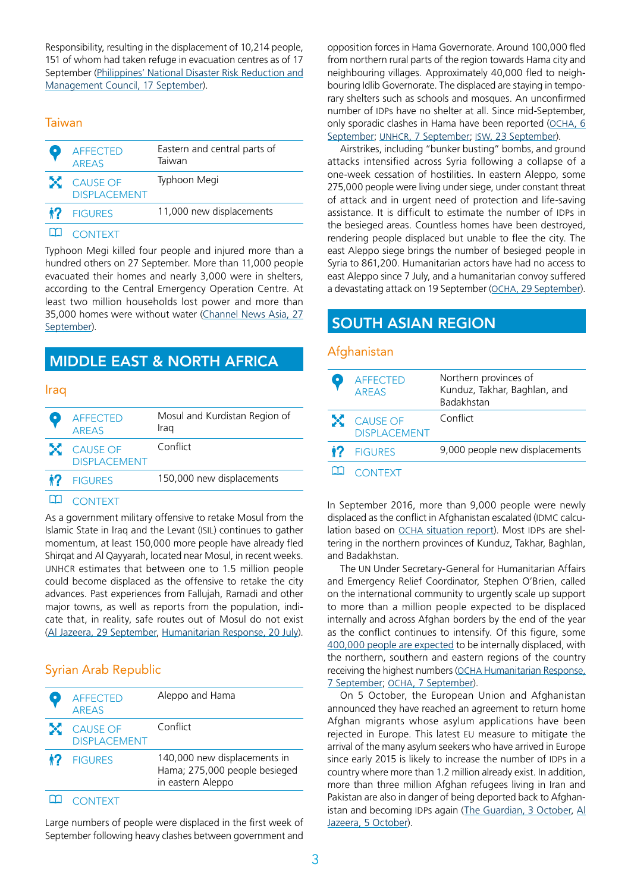Responsibility, resulting in the displacement of 10,214 people, 151 of whom had taken refuge in evacuation centres as of 17 September [\(Philippines' National Disaster Risk Reduction and](http://www.ndrrmc.gov.ph/attachments/article/2913/Sitrep_No_06_re_Preparedness_Measures_and_Effects_of_TY_FERDIE_as_of_17SEPT2016_0800H.pdf) [Management Council, 17 September](http://www.ndrrmc.gov.ph/attachments/article/2913/Sitrep_No_06_re_Preparedness_Measures_and_Effects_of_TY_FERDIE_as_of_17SEPT2016_0800H.pdf)).

#### **Taiwan**

| <b>AFFECTED</b><br><b>AREAS</b>   | Eastern and central parts of<br>Taiwan |
|-----------------------------------|----------------------------------------|
| X CAUSE OF<br><b>DISPLACEMENT</b> | Typhoon Megi                           |
| <b>12</b> FIGURES                 | 11,000 new displacements               |
|                                   |                                        |

#### **CONTEXT**

Typhoon Megi killed four people and injured more than a hundred others on 27 September. More than 11,000 people evacuated their homes and nearly 3,000 were in shelters, according to the Central Emergency Operation Centre. At least two million households lost power and more than 35,000 homes were without water [\(Channel News Asia, 27](http://www.channelnewsasia.com/news/asiapacific/typhoon-megi-kills-4-leaves-trail-of-damage-in-taiwan/3159742.html) [September](http://www.channelnewsasia.com/news/asiapacific/typhoon-megi-kills-4-leaves-trail-of-damage-in-taiwan/3159742.html)).

### Middle East & North Africa

#### Iraq

| <b>AFFECTED</b><br><b>AREAS</b>   | Mosul and Kurdistan Region of<br>Iraq |
|-----------------------------------|---------------------------------------|
| X CAUSE OF<br><b>DISPLACEMENT</b> | Conflict                              |
| <b>12</b> FIGURES                 | 150,000 new displacements             |
|                                   |                                       |

#### LLI CONTEXT

As a government military offensive to retake Mosul from the Islamic State in Iraq and the Levant (ISIL) continues to gather momentum, at least 150,000 more people have already fled Shirqat and Al Qayyarah, located near Mosul, in recent weeks. UNHCR estimates that between one to 1.5 million people could become displaced as the offensive to retake the city advances. Past experiences from Fallujah, Ramadi and other major towns, as well as reports from the population, indicate that, in reality, safe routes out of Mosul do not exist [\(Al Jazeera, 29 September,](http://www.aljazeera.com/indepth/features/2016/09/crisis-15-million-expected-flee-mosul-160928191736825.html) [Humanitarian Response, 20 July](https://www.humanitarianresponse.info/en/operations/iraq/document/mosul-flash-appeal-2016)).

#### Syrian Arab Republic

| <b>AFFECTED</b><br><b>AREAS</b>   | Aleppo and Hama                                                                    |
|-----------------------------------|------------------------------------------------------------------------------------|
| X CAUSE OF<br><b>DISPLACEMENT</b> | Conflict                                                                           |
| <b>12</b> FIGURES                 | 140,000 new displacements in<br>Hama; 275,000 people besieged<br>in eastern Aleppo |
|                                   |                                                                                    |

**CONTEXT** 

Large numbers of people were displaced in the first week of September following heavy clashes between government and

opposition forces in Hama Governorate. Around 100,000 fled from northern rural parts of the region towards Hama city and neighbouring villages. Approximately 40,000 fled to neighbouring Idlib Governorate. The displaced are staying in temporary shelters such as schools and mosques. An unconfirmed number of IDPs have no shelter at all. Since mid-September, only sporadic clashes in Hama have been reported ([OCHA, 6](http://reliefweb.int/sites/reliefweb.int/files/resources/Hama%20Flash%20Update.pdf)  [September;](http://reliefweb.int/sites/reliefweb.int/files/resources/Hama%20Flash%20Update.pdf) [UNHCR, 7 September](http://reliefweb.int/sites/reliefweb.int/files/resources/160907%20syria%20flash%20update%20cccm%20snfi%20protection.pdf); [ISW, 23 September\)](http://iswresearch.blogspot.ch/search/label/Syria).

Airstrikes, including "bunker busting" bombs, and ground attacks intensified across Syria following a collapse of a one-week cessation of hostilities. In eastern Aleppo, some 275,000 people were living under siege, under constant threat of attack and in urgent need of protection and life-saving assistance. It is difficult to estimate the number of IDPs in the besieged areas. Countless homes have been destroyed, rendering people displaced but unable to flee the city. The east Aleppo siege brings the number of besieged people in Syria to 861,200. Humanitarian actors have had no access to east Aleppo since 7 July, and a humanitarian convoy suffered a devastating attack on 19 September [\(OCHA, 29 September\)](http://reliefweb.int/sites/reliefweb.int/files/resources/ERC_USG%20Stephen%20O%20Brien%20Statement%20on%20Syria%20to%20SecCo%2029SEPT2016.pdf).

# SOUTH ASIAN REGION

#### **Afghanistan**

| <b>AFFECTED</b><br><b>AREAS</b>   | Northern provinces of<br>Kunduz, Takhar, Baghlan, and<br>Badakhstan |
|-----------------------------------|---------------------------------------------------------------------|
| X CAUSE OF<br><b>DISPLACEMENT</b> | Conflict                                                            |
| <b>12</b> FIGURES                 | 9,000 people new displacements                                      |
| ONTEXT                            |                                                                     |

In September 2016, more than 9,000 people were newly displaced as the conflict in Afghanistan escalated (IDMC calculation based on [OCHA situation report\)](https://www.humanitarianresponse.info/en/operations/afghanistan/document/conflict-induced-idps-weekly-update-24-july-2016). Most IDPs are sheltering in the northern provinces of Kunduz, Takhar, Baghlan, and Badakhstan.

The UN Under Secretary-General for Humanitarian Affairs and Emergency Relief Coordinator, Stephen O'Brien, called on the international community to urgently scale up support to more than a million people expected to be displaced internally and across Afghan borders by the end of the year as the conflict continues to intensify. Of this figure, some [400,000 people are expected](http://reliefweb.int/report/afghanistan/afghanistan-flash-appeal-one-million-people-move-covering-sep-dec-2016?utm_campaign=subbscriptions&utm_source=sendgrid&utm_medium=email) to be internally displaced, with the northern, southern and eastern regions of the country receiving the highest numbers [\(OCHA Humanitarian Response,](https://www.humanitarianresponse.info/en/node/132030)  [7 September;](https://www.humanitarianresponse.info/en/node/132030) [OCHA, 7 September](http://reliefweb.int/report/afghanistan/un-humanitarian-chief-calls-scaling-support-more-one-million-people-move?utm_campaign=subbscriptions&utm_source=sendgrid&utm_medium=email)).

On 5 October, the European Union and Afghanistan announced they have reached an agreement to return home Afghan migrants whose asylum applications have been rejected in Europe. This latest EU measure to mitigate the arrival of the many asylum seekers who have arrived in Europe since early 2015 is likely to increase the number of IDPs in a country where more than 1.2 million already exist. In addition, more than three million Afghan refugees living in Iran and Pakistan are also in danger of being deported back to Afghanistan and becoming IDPs again ([The Guardian, 3 October,](https://www.theguardian.com/global-development/2016/oct/03/eu-european-union-signs-deal-deport-unlimited-numbers-afghan-asylum-seekers-afghanistan?CMP=Share_iOSApp_Other) [Al](http://www.aljazeera.com/news/2016/10/eu-deal-clears-deportation-unlimited-afghan-refugees-161004132025865.html)  [Jazeera, 5 October\)](http://www.aljazeera.com/news/2016/10/eu-deal-clears-deportation-unlimited-afghan-refugees-161004132025865.html).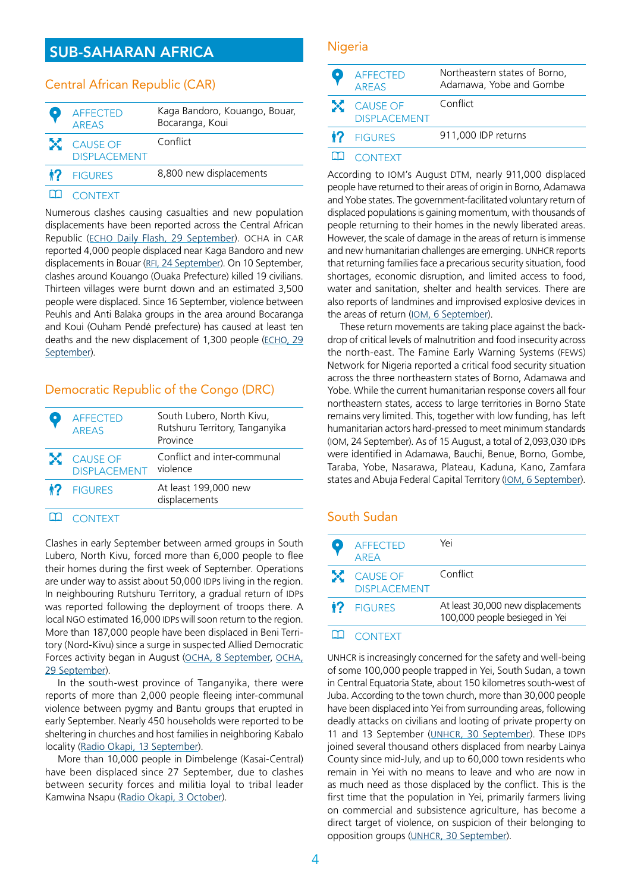# Sub-Saharan Africa

#### Central African Republic (CAR)

| <b>AFFECTED</b><br><b>ARFAS</b>   | Kaga Bandoro, Kouango, Bouar,<br>Bocaranga, Koui |
|-----------------------------------|--------------------------------------------------|
| X CAUSE OF<br><b>DISPLACEMENT</b> | Conflict                                         |
| <b>12</b> FIGURES                 | 8,800 new displacements                          |
|                                   |                                                  |

#### **CONTEXT**

Numerous clashes causing casualties and new population displacements have been reported across the Central African Republic [\(ECHO Daily Flash, 29 September](http://erccportal.jrc.ec.europa.eu/ECHO-Flash/ECHO-Flash-Item/oid/11083)). OCHA in CAR reported 4,000 people displaced near Kaga Bandoro and new displacements in Bouar ([RFI, 24 September\)](http://www.rfi.fr/afrique/20160924-rca-deplaces-kouango-violences-ocha-assistance-humanitaire). On 10 September, clashes around Kouango (Ouaka Prefecture) killed 19 civilians. Thirteen villages were burnt down and an estimated 3,500 people were displaced. Since 16 September, violence between Peuhls and Anti Balaka groups in the area around Bocaranga and Koui (Ouham Pendé prefecture) has caused at least ten deaths and the new displacement of 1,300 people ([ECHO, 29](http://erccportal.jrc.ec.europa.eu/ECHO-Flash/ECHO-Flash-Item/oid/11083) [September](http://erccportal.jrc.ec.europa.eu/ECHO-Flash/ECHO-Flash-Item/oid/11083)).

#### Democratic Republic of the Congo (DRC)

| <b>AFFECTED</b><br><b>AREAS</b>   | South Lubero, North Kivu,<br>Rutshuru Territory, Tanganyika<br>Province |
|-----------------------------------|-------------------------------------------------------------------------|
| X CAUSE OF<br><b>DISPLACEMENT</b> | Conflict and inter-communal<br>violence                                 |
| <b>12</b> FIGURES                 | At least 199,000 new<br>displacements                                   |
|                                   |                                                                         |

#### **CONTEXT**

Clashes in early September between armed groups in South Lubero, North Kivu, forced more than 6,000 people to flee their homes during the first week of September. Operations are under way to assist about 50,000 IDPs living in the region. In neighbouring Rutshuru Territory, a gradual return of IDPs was reported following the deployment of troops there. A local NGO estimated 16,000 IDPs will soon return to the region. More than 187,000 people have been displaced in Beni Territory (Nord-Kivu) since a surge in suspected Allied Democratic Forces activity began in August ([OCHA, 8 September,](https://www.humanitarianresponse.info/fr/system/files/documents/files/ochardc-nk-noteinfoshumanitaires-20160908.pdf) [OCHA,](http://reliefweb.int/report/democratic-republic-congo/rd-congo-nord-kivu-note-d-informations-humanitaires-no-18-du-29) [29 September](http://reliefweb.int/report/democratic-republic-congo/rd-congo-nord-kivu-note-d-informations-humanitaires-no-18-du-29)).

In the south-west province of Tanganyika, there were reports of more than 2,000 people fleeing inter-communal violence between pygmy and Bantu groups that erupted in early September. Nearly 450 households were reported to be sheltering in churches and host families in neighboring Kabalo locality [\(Radio Okapi, 13 September\)](http://www.radiookapi.net/2016/09/13/actualite/societe/tanganyika-plus-de-2-000-bantous-deplaces-apres-leur-conflit-avec-les).

More than 10,000 people in Dimbelenge (Kasai-Central) have been displaced since 27 September, due to clashes between security forces and militia loyal to tribal leader Kamwina Nsapu ([Radio Okapi, 3 October](http://www.radiookapi.net/2016/10/03/actualite/societe/dimbelenge-10-000-personnes-ont-fui-les-affrontements-entre-militaires)).

#### Nigeria

| <b>AFFECTED</b><br><b>AREAS</b>   | Northeastern states of Borno,<br>Adamawa, Yobe and Gombe |
|-----------------------------------|----------------------------------------------------------|
| X CAUSE OF<br><b>DISPLACEMENT</b> | Conflict                                                 |
| <b>12</b> FIGURES                 | 911,000 IDP returns                                      |
|                                   |                                                          |

#### **CONTEXT**

According to IOM's August DTM, nearly 911,000 displaced people have returned to their areas of origin in Borno, Adamawa and Yobe states. The government-facilitated voluntary return of displaced populations is gaining momentum, with thousands of people returning to their homes in the newly liberated areas. However, the scale of damage in the areas of return is immense and new humanitarian challenges are emerging. UNHCR reports that returning families face a precarious security situation, food shortages, economic disruption, and limited access to food, water and sanitation, shelter and health services. There are also reports of landmines and improvised explosive devices in the areas of return [\(IOM, 6 September](https://nigeria.iom.int/sites/default/files/dtm_reports/01%20DTM%20Nigeria%20Round%20XI%20Report%20August%202016.pdf)).

These return movements are taking place against the backdrop of critical levels of malnutrition and food insecurity across the north-east. The Famine Early Warning Systems (FEWS) Network for Nigeria reported a critical food security situation across the three northeastern states of Borno, Adamawa and Yobe. While the current humanitarian response covers all four northeastern states, access to large territories in Borno State remains very limited. This, together with low funding, has left humanitarian actors hard-pressed to meet minimum standards (IOM, 24 September). As of 15 August, a total of 2,093,030 IDPs were identified in Adamawa, Bauchi, Benue, Borno, Gombe, Taraba, Yobe, Nasarawa, Plateau, Kaduna, Kano, Zamfara states and Abuja Federal Capital Territory [\(IOM, 6 September\)](https://nigeria.iom.int/sites/default/files/dtm_reports/01%20DTM%20Nigeria%20Round%20XI%20Report%20August%202016.pdf).

### South Sudan

| <b>AFFECTED</b><br><b>ARFA</b>    | Yei                                                                 |
|-----------------------------------|---------------------------------------------------------------------|
| X CAUSE OF<br><b>DISPLACEMENT</b> | Conflict                                                            |
| <b>1?</b> FIGURES                 | At least 30,000 new displacements<br>100,000 people besieged in Yei |
|                                   |                                                                     |

#### **CONTEXT**

UNHCR is increasingly concerned for the safety and well-being of some 100,000 people trapped in Yei, South Sudan, a town in Central Equatoria State, about 150 kilometres south-west of Juba. According to the town church, more than 30,000 people have been displaced into Yei from surrounding areas, following deadly attacks on civilians and looting of private property on 11 and 13 September [\(UNHCR, 30 September](http://reliefweb.int/report/south-sudan/unhcr-sounds-warning-over-situation-south-sudan-s-yei)). These IDPs joined several thousand others displaced from nearby Lainya County since mid-July, and up to 60,000 town residents who remain in Yei with no means to leave and who are now in as much need as those displaced by the conflict. This is the first time that the population in Yei, primarily farmers living on commercial and subsistence agriculture, has become a direct target of violence, on suspicion of their belonging to opposition groups ([UNHCR, 30 September\)](http://reliefweb.int/report/south-sudan/unhcr-sounds-warning-over-situation-south-sudan-s-yei).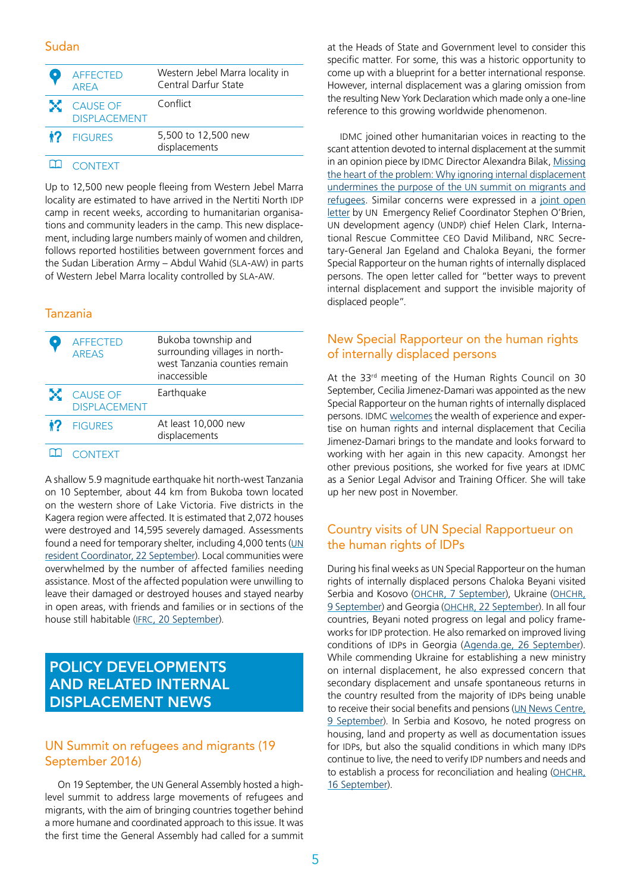#### Sudan

| <b>AFFECTED</b><br><b>ARFA</b>    | Western Jebel Marra locality in<br>Central Darfur State |
|-----------------------------------|---------------------------------------------------------|
| X CAUSE OF<br><b>DISPLACEMENT</b> | Conflict                                                |
| <b>12</b> FIGURES                 | 5,500 to 12,500 new<br>displacements                    |
|                                   |                                                         |

#### **CONTEXT**

Up to 12,500 new people fleeing from Western Jebel Marra locality are estimated to have arrived in the Nertiti North IDP camp in recent weeks, according to humanitarian organisations and community leaders in the camp. This new displacement, including large numbers mainly of women and children, follows reported hostilities between government forces and the Sudan Liberation Army – Abdul Wahid (SLA-AW) in parts of Western Jebel Marra locality controlled by SLA-AW.

#### Tanzania

| <b>AFFECTED</b><br><b>ARFAS</b>   | Bukoba township and<br>surrounding villages in north-<br>west Tanzania counties remain<br>inaccessible |
|-----------------------------------|--------------------------------------------------------------------------------------------------------|
| X CAUSE OF<br><b>DISPLACEMENT</b> | Earthquake                                                                                             |
| <b>1?</b> FIGURES                 | At least 10,000 new<br>displacements                                                                   |

#### **CONTEXT**

A shallow 5.9 magnitude earthquake hit north-west Tanzania on 10 September, about 44 km from Bukoba town located on the western shore of Lake Victoria. Five districts in the Kagera region were affected. It is estimated that 2,072 houses were destroyed and 14,595 severely damaged. Assessments found a need for temporary shelter, including 4,000 tents ([UN](https://www.humanitarianresponse.info/en/system/files/documents/files/unrc_flash_update_no5_22september2016.pdf) [resident Coordinator, 22 September\)](https://www.humanitarianresponse.info/en/system/files/documents/files/unrc_flash_update_no5_22september2016.pdf). Local communities were overwhelmed by the number of affected families needing assistance. Most of the affected population were unwilling to leave their damaged or destroyed houses and stayed nearby in open areas, with friends and families or in sections of the house still habitable [\(IFRC, 20 September](http://reliefweb.int/report/united-republic-tanzania/tanzania-earthquake-emergency-plan-action-update-epoa-n-mdrtz020)).

# POLICY DEVELOPMENTS and related internal displacement news

#### UN Summit on refugees and migrants (19 September 2016)

On 19 September, the UN General Assembly hosted a highlevel summit to address large movements of refugees and migrants, with the aim of bringing countries together behind a more humane and coordinated approach to this issue. It was the first time the General Assembly had called for a summit

at the Heads of State and Government level to consider this specific matter. For some, this was a historic opportunity to come up with a blueprint for a better international response. However, internal displacement was a glaring omission from the resulting New York Declaration which made only a one-line reference to this growing worldwide phenomenon.

IDMC joined other humanitarian voices in reacting to the scant attention devoted to internal displacement at the summit in an opinion piece by IDMC Director Alexandra Bilak, [Missing](http://news.trust.org/item/20160916104048-x43fd/)  [the heart of the problem: Why ignoring internal displacement](http://news.trust.org/item/20160916104048-x43fd/)  [undermines the purpose of the UN summit on migrants and](http://news.trust.org/item/20160916104048-x43fd/)  [refugees.](http://news.trust.org/item/20160916104048-x43fd/) Similar concerns were expressed in a [joint open](https://medium.com/@UNOCHA/internally-displaced-people-df55fbd84e30#.8z0scrb37)  [letter b](https://medium.com/@UNOCHA/internally-displaced-people-df55fbd84e30#.8z0scrb37)y UN Emergency Relief Coordinator Stephen O'Brien, UN development agency (UNDP) chief Helen Clark, International Rescue Committee CEO David Miliband, NRC Secretary-General Jan Egeland and Chaloka Beyani, the former Special Rapporteur on the human rights of internally displaced persons. The open letter called for "better ways to prevent internal displacement and support the invisible majority of displaced people".

#### New Special Rapporteur on the human rights of internally displaced persons

At the 33rd meeting of the Human Rights Council on 30 September, Cecilia Jimenez-Damari was appointed as the new Special Rapporteur on the human rights of internally displaced persons. IDMC [welcomes](http://www.internal-displacement.org/assets/library/Media/20160310-Statement-Cecilia-Jimenez-FINAL.pdf) the wealth of experience and expertise on human rights and internal displacement that Cecilia Jimenez-Damari brings to the mandate and looks forward to working with her again in this new capacity. Amongst her other previous positions, she worked for five years at IDMC as a Senior Legal Advisor and Training Officer. She will take up her new post in November.

#### Country visits of UN Special Rapportueur on the human rights of IDPs

During his final weeks as UN Special Rapporteur on the human rights of internally displaced persons Chaloka Beyani visited Serbia and Kosovo ([OHCHR, 7 September\)](http://www.ohchr.org/en/NewsEvents/Pages/DisplayNews.aspx?NewsID=20463&LangID=E), Ukraine [\(OHCHR,](http://www.ohchr.org/en/NewsEvents/Pages/DisplayNews.aspx?NewsID=20472&LangID=E)  [9 September](http://www.ohchr.org/en/NewsEvents/Pages/DisplayNews.aspx?NewsID=20472&LangID=E)) and Georgia [\(OHCHR, 22 September](http://www.ohchr.org/en/NewsEvents/Pages/DisplayNews.aspx?NewsID=20562&LangID=E)). In all four countries, Beyani noted progress on legal and policy frameworks for IDP protection. He also remarked on improved living conditions of IDPs in Georgia ([Agenda.ge, 26 September\)](http://agenda.ge/news/66135/eng). While commending Ukraine for establishing a new ministry on internal displacement, he also expressed concern that secondary displacement and unsafe spontaneous returns in the country resulted from the majority of IDPs being unable to receive their social benefits and pensions (UN News Centre, 9 September). In Serbia and Kosovo, he noted progress on housing, land and property as well as documentation issues for IDPs, but also the squalid conditions in which many IDPs continue to live, the need to verify IDP numbers and needs and to establish a process for reconciliation and healing [\(OHCHR,](http://www.ohchr.org/EN/NewsEvents/Pages/DisplayNews.aspx?NewsID=20514&LangID=E)  [16 September\)](http://www.ohchr.org/EN/NewsEvents/Pages/DisplayNews.aspx?NewsID=20514&LangID=E).